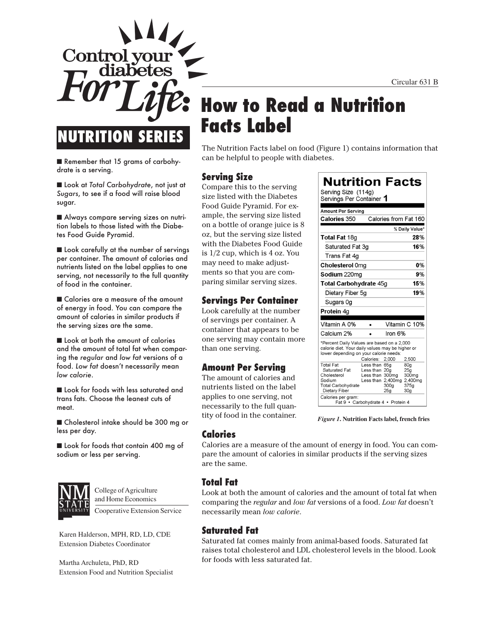Circular 631 B



■ Remember that 15 grams of carbohydrate is a serving.

■ Look at *Total Carbohydrate*, not just at *Sugars*, to see if a food will raise blood sugar.

■ Always compare serving sizes on nutrition labels to those listed with the Diabetes Food Guide Pyramid.

■ Look carefully at the number of servings per container. The amount of calories and nutrients listed on the label applies to one serving, not necessarily to the full quantity of food in the container.

■ Calories are a measure of the amount of energy in food. You can compare the amount of calories in similar products if the serving sizes are the same.

■ Look at both the amount of calories and the amount of total fat when comparing the *regular* and *low fat* versions of a food. *Low fat* doesn't necessarily mean *low calorie*.

■ Look for foods with less saturated and trans fats. Choose the leanest cuts of meat.

■ Cholesterol intake should be 300 mg or less per day.

■ Look for foods that contain 400 mg of sodium or less per serving.



College of Agriculture and Home Economics

Cooperative Extension Service

Karen Halderson, MPH, RD, LD, CDE Extension Diabetes Coordinator

Martha Archuleta, PhD, RD Extension Food and Nutrition Specialist

# **How to Read a Nutrition Facts Label**

The Nutrition Facts label on food (Figure 1) contains information that can be helpful to people with diabetes.

#### **Serving Size**

Compare this to the serving size listed with the Diabetes Food Guide Pyramid. For example, the serving size listed on a bottle of orange juice is 8 oz, but the serving size listed with the Diabetes Food Guide is 1/2 cup, which is 4 oz. You may need to make adjustments so that you are comparing similar serving sizes.

#### **Servings Per Container**

Look carefully at the number of servings per container. A container that appears to be one serving may contain more than one serving.

#### **Amount Per Serving**

The amount of calories and nutrients listed on the label applies to one serving, not necessarily to the full quantity of food in the container.

| <b>Nutrition Facts</b>                                                                                                                                                                                                                                                                                                                                            |
|-------------------------------------------------------------------------------------------------------------------------------------------------------------------------------------------------------------------------------------------------------------------------------------------------------------------------------------------------------------------|
| Serving Size (114g)<br>Servings Per Container 1                                                                                                                                                                                                                                                                                                                   |
| <b>Amount Per Serving</b>                                                                                                                                                                                                                                                                                                                                         |
| Calories from Fat 160<br><b>Calories 350</b>                                                                                                                                                                                                                                                                                                                      |
| % Daily Value*                                                                                                                                                                                                                                                                                                                                                    |
| <b>Total Fat 18g</b><br>28%                                                                                                                                                                                                                                                                                                                                       |
| 16%<br>Saturated Fat 3q                                                                                                                                                                                                                                                                                                                                           |
| Trans Fat 4q                                                                                                                                                                                                                                                                                                                                                      |
| <b>Cholesterol Omg</b><br>0%                                                                                                                                                                                                                                                                                                                                      |
| Sodium 220mg<br>9%                                                                                                                                                                                                                                                                                                                                                |
| 15%<br>Total Carbohydrate 45g                                                                                                                                                                                                                                                                                                                                     |
| 19%<br>Dietary Fiber 5g                                                                                                                                                                                                                                                                                                                                           |
| Sugars 0g                                                                                                                                                                                                                                                                                                                                                         |
| <b>Protein 4g</b>                                                                                                                                                                                                                                                                                                                                                 |
|                                                                                                                                                                                                                                                                                                                                                                   |
| Vitamin C 10%<br>Vitamin A 0%                                                                                                                                                                                                                                                                                                                                     |
| Calcium 2%<br>Iron 6%                                                                                                                                                                                                                                                                                                                                             |
| *Percent Daily Values are based on a 2,000<br>calorie diet. Your daily values may be higher or<br>lower depending on your calorie needs:<br>Calories:<br>2,000<br>2,500                                                                                                                                                                                           |
| <b>Total Fat</b><br>Less than 65g<br>80g<br>Saturated Fat<br>Less than 20a<br>25g<br>Cholesterol<br>Less than<br>300 <sub>mg</sub><br>300 <sub>mg</sub><br>Sodium<br>Less than 2,400mg<br>2,400mg<br>375a<br>300a<br><b>Total Carbohydrate</b><br>Dietary Fiber<br>25 <sub>a</sub><br>30 <sub>g</sub><br>Calories per gram:<br>Fat 9 · Carbohydrate 4 · Protein 4 |

*Figure 1***. Nutrition Facts label, french fries**

### **Calories**

Calories are a measure of the amount of energy in food. You can compare the amount of calories in similar products if the serving sizes are the same.

#### **Total Fat**

Look at both the amount of calories and the amount of total fat when comparing the *regular* and *low fat* versions of a food. *Low fat* doesn't necessarily mean *low calorie*.

#### **Saturated Fat**

Saturated fat comes mainly from animal-based foods. Saturated fat raises total cholesterol and LDL cholesterol levels in the blood. Look for foods with less saturated fat.